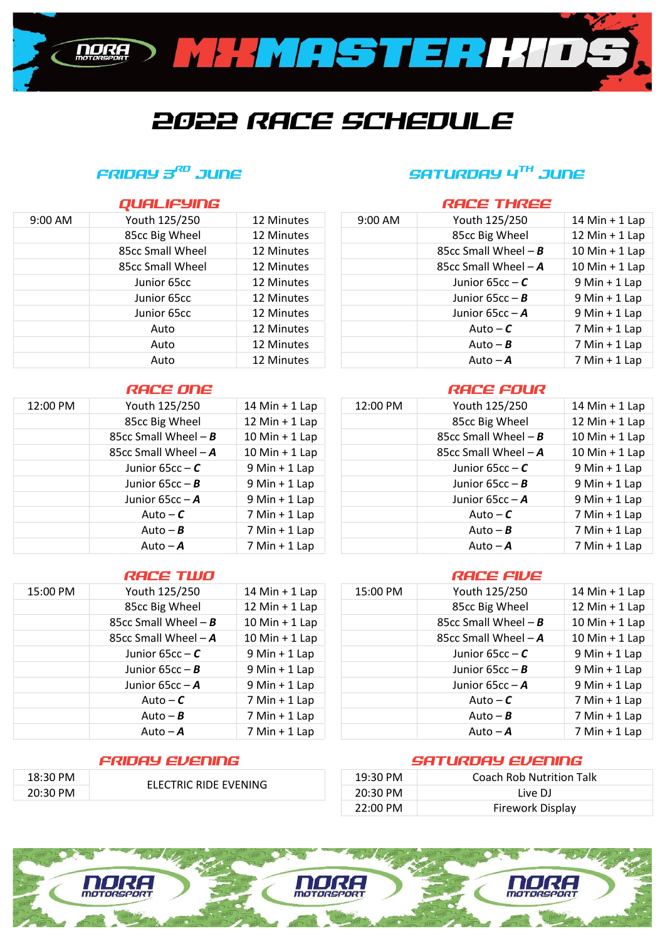

# 2022 RACE SCHEDULE

### FRIDAY 3<sup>RD</sup> JUNE

| SATURDAY 4 <sup>TH</sup> JUNE |
|-------------------------------|
|-------------------------------|

**RACE THREE** 

|           | QUALIFYING       |            |
|-----------|------------------|------------|
| $9:00$ AM | Youth 125/250    | 12 Minutes |
|           | 85cc Big Wheel   | 12 Minutes |
|           | 85cc Small Wheel | 12 Minutes |
|           | 85cc Small Wheel | 12 Minutes |
|           | Junior 65cc      | 12 Minutes |
|           | Junior 65cc      | 12 Minutes |
|           | Junior 65cc      | 12 Minutes |
|           | Auto             | 12 Minutes |
|           | Auto             | 12 Minutes |
|           | Auto             | 12 Minutes |

| 12:00 PM | Youth 125/250         | 14 Min $+$ 1 Lap   |
|----------|-----------------------|--------------------|
|          | 85cc Big Wheel        | 12 Min $+$ 1 Lap   |
|          | 85cc Small Wheel $-B$ | $10$ Min + 1 Lap   |
|          | 85cc Small Wheel $-A$ | $10$ Min + $1$ Lap |
|          | Junior 65 $cc - C$    | $9$ Min + 1 Lap    |
|          | Junior $65cc - B$     | $9$ Min + 1 Lap    |
|          | Junior $65cc - A$     | $9$ Min + 1 Lap    |
|          | Auto – $\mathcal C$   | $7$ Min + 1 Lap    |
|          | Auto – $B$            | $7$ Min + 1 Lap    |
|          | Auto $-A$             | $7$ Min + 1 Lap    |

### RACE TWO CONTROL CONTRACT CONTRACT CONTRACT CONTRACT CONTRACT CONTRACT CONTRACT CONTRACT CONTRACT CONTRACT CONTR

| 15:00 PM | Youth 125/250         | 14 Min $+$ 1 Lap |
|----------|-----------------------|------------------|
|          | 85cc Big Wheel        | 12 Min $+$ 1 Lap |
|          | 85cc Small Wheel $-B$ | $10$ Min + 1 Lap |
|          | 85cc Small Wheel $-A$ | $10$ Min + 1 Lap |
|          | Junior 65 $cc - C$    | $9$ Min + 1 Lap  |
|          | Junior 65 $cc - B$    | $9$ Min + 1 Lap  |
|          | Junior $65cc - A$     | $9$ Min + 1 Lap  |
|          | Auto – $\mathcal C$   | $7$ Min + 1 Lap  |
|          | Auto – $B$            | $7$ Min + 1 Lap  |
|          | Auto $-A$             | $7$ Min + 1 Lap  |

| 18:30 PM |                       | 19:30 PM | <b>Coach Rob Nutrition Talk</b> |
|----------|-----------------------|----------|---------------------------------|
| 20:30 PM | ELECTRIC RIDE EVENING | 20:30 PM | Live DJ                         |
|          |                       | 22:00 PM | <b>Firework Display</b>         |

| Youth 125/250    | 12 Minutes | 9:00 AM | Youth 125/250         | $14$ Min + 1 Lap   |
|------------------|------------|---------|-----------------------|--------------------|
| 85cc Big Wheel   | 12 Minutes |         | 85cc Big Wheel        | 12 Min + $1$ Lap   |
| 85cc Small Wheel | 12 Minutes |         | 85cc Small Wheel $-B$ | $10$ Min + $1$ Lap |
| 85cc Small Wheel | 12 Minutes |         | 85cc Small Wheel $-A$ | $10$ Min + $1$ Lap |
| Junior 65cc      | 12 Minutes |         | Junior $65cc - C$     | $9$ Min + 1 Lap    |
| Junior 65cc      | 12 Minutes |         | Junior $65cc - B$     | $9$ Min + 1 Lap    |
| Junior 65cc      | 12 Minutes |         | Junior $65cc - A$     | $9$ Min + 1 Lap    |
| Auto             | 12 Minutes |         | Auto – $\mathcal C$   | $7$ Min + 1 Lap    |
| Auto             | 12 Minutes |         | Auto – $\bm{B}$       | $7$ Min + 1 Lap    |
| Auto             | 12 Minutes |         | Auto $-A$             | $7$ Min + 1 Lap    |
|                  |            |         |                       |                    |

### RACE ONE RACE FOUR

| 12:00 PM | Youth 125/250           | $14$ Min + 1 Lap  | 12:00 PM | Youth 125/250         | 14 Min $+$ 1 Lap |
|----------|-------------------------|-------------------|----------|-----------------------|------------------|
|          | 85cc Big Wheel          | 12 Min $+$ 1 Lap  |          | 85cc Big Wheel        | 12 Min $+$ 1 Lap |
|          | 85cc Small Wheel $-B$   | $10 Min + 1 Lap$  |          | 85cc Small Wheel $-B$ | $10$ Min + 1 Lap |
|          | 85cc Small Wheel $-A$   | $10 Min + 1 Lap$  |          | 85cc Small Wheel $-A$ | $10 Min + 1 Lap$ |
|          | Junior 65 $cc - C$      | $9$ Min + 1 Lap   |          | Junior 65 $cc - C$    | $9$ Min + 1 Lap  |
|          | Junior $65cc - B$       | $9$ Min + 1 Lap   |          | Junior 65 $cc - B$    | $9$ Min + 1 Lap  |
|          | Junior 65 $cc - A$      | $9$ Min + 1 Lap   |          | Junior $65cc - A$     | $9$ Min + 1 Lap  |
|          | Auto – $\boldsymbol{c}$ | $7$ Min $+$ 1 Lap |          | Auto – $\mathcal C$   | $7$ Min + 1 Lap  |
|          | Auto – $\bm{B}$         | $7$ Min + 1 Lap   |          | Auto – $\bm{B}$       | $7$ Min + 1 Lap  |
|          | Auto $-A$               | $7$ Min + 1 Lap   |          | Auto $-A$             | $7$ Min + 1 Lap  |
|          |                         |                   |          |                       |                  |

| 15:00 PM | Youth 125/250           | $14$ Min + 1 Lap  | 15:00 PM | Youth 125/250         | 14 Min $+$ 1 Lap |
|----------|-------------------------|-------------------|----------|-----------------------|------------------|
|          | 85cc Big Wheel          | 12 Min $+$ 1 Lap  |          | 85cc Big Wheel        | 12 Min + $1$ Lap |
|          | 85cc Small Wheel $-B$   | $10 Min + 1 Lap$  |          | 85cc Small Wheel $-B$ | $10 Min + 1 Lap$ |
|          | 85cc Small Wheel $-A$   | $10$ Min + 1 Lap  |          | 85cc Small Wheel $-A$ | $10 Min + 1 Lap$ |
|          | Junior 65 $cc - C$      | $9$ Min + 1 Lap   |          | Junior $65cc - C$     | $9$ Min + 1 Lap  |
|          | Junior 65 $cc - B$      | $9$ Min + 1 Lap   |          | Junior $65cc - B$     | $9$ Min + 1 Lap  |
|          | Junior 65 $cc - A$      | $9$ Min + 1 Lap   |          | Junior $65cc - A$     | $9$ Min + 1 Lap  |
|          | Auto – $\mathcal C$     | $7$ Min + 1 Lap   |          | Auto – $\mathcal C$   | $7$ Min + 1 Lap  |
|          | Auto – $\boldsymbol{B}$ | $7$ Min $+$ 1 Lap |          | Auto – $B$            | $7$ Min + 1 Lap  |
|          | Auto $-A$               | $7$ Min + 1 Lap   |          | Auto $-A$             | $7$ Min + 1 Lap  |
|          |                         |                   |          |                       |                  |

### FRIDAY EVENING SATURDAY EVENING

|                           | 22:00 PM | <b>Firework Display</b>   |  |
|---------------------------|----------|---------------------------|--|
|                           |          |                           |  |
|                           |          |                           |  |
| NORA<br><b>NOTORSPORT</b> |          | NORA<br><b>MOTORSPORT</b> |  |

| FRIDAY EI       |
|-----------------|
| Auto $-\lambda$ |
| Auto – I        |
|                 |